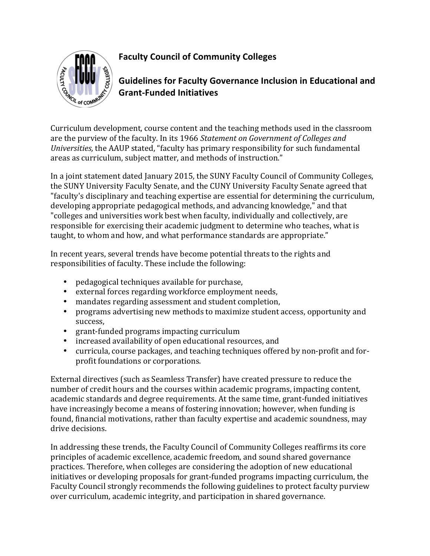

## **Faculty Council of Community Colleges**

**Guidelines for Faculty Governance Inclusion in Educational and Grant-Funded Initiatives**

Curriculum development, course content and the teaching methods used in the classroom are the purview of the faculty. In its 1966 Statement on Government of Colleges and *Universities,* the AAUP stated, "faculty has primary responsibility for such fundamental areas as curriculum, subject matter, and methods of instruction."

In a joint statement dated January 2015, the SUNY Faculty Council of Community Colleges, the SUNY University Faculty Senate, and the CUNY University Faculty Senate agreed that "faculty's disciplinary and teaching expertise are essential for determining the curriculum, developing appropriate pedagogical methods, and advancing knowledge," and that "colleges and universities work best when faculty, individually and collectively, are responsible for exercising their academic judgment to determine who teaches, what is taught, to whom and how, and what performance standards are appropriate."

In recent years, several trends have become potential threats to the rights and responsibilities of faculty. These include the following:

- pedagogical techniques available for purchase,
- external forces regarding workforce employment needs,
- mandates regarding assessment and student completion,
- programs advertising new methods to maximize student access, opportunity and success,
- grant-funded programs impacting curriculum
- increased availability of open educational resources, and
- curricula, course packages, and teaching techniques offered by non-profit and forprofit foundations or corporations.

External directives (such as Seamless Transfer) have created pressure to reduce the number of credit hours and the courses within academic programs, impacting content, academic standards and degree requirements. At the same time, grant-funded initiatives have increasingly become a means of fostering innovation; however, when funding is found, financial motivations, rather than faculty expertise and academic soundness, may drive decisions.

In addressing these trends, the Faculty Council of Community Colleges reaffirms its core principles of academic excellence, academic freedom, and sound shared governance practices. Therefore, when colleges are considering the adoption of new educational initiatives or developing proposals for grant-funded programs impacting curriculum, the Faculty Council strongly recommends the following guidelines to protect faculty purview over curriculum, academic integrity, and participation in shared governance.